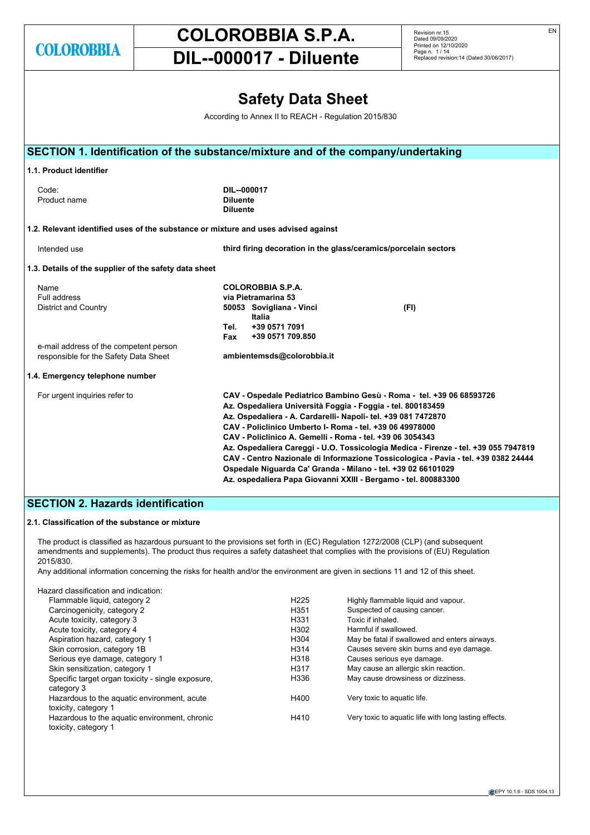# **COLOROBBIA S.P.A.**

Revision nr.15 Dated 09/09/2020 Printed on 12/10/2020 Page n. 1 / 14 Replaced revision:14 (Dated 30/06/2017)

# **DIL--000017 - Diluente**

|                                                                                    |                                                   | <b>Safety Data Sheet</b>                                                                                                                                                                                                                              |                                                                                                                                                                                                                                                                                                                                                                                     |  |
|------------------------------------------------------------------------------------|---------------------------------------------------|-------------------------------------------------------------------------------------------------------------------------------------------------------------------------------------------------------------------------------------------------------|-------------------------------------------------------------------------------------------------------------------------------------------------------------------------------------------------------------------------------------------------------------------------------------------------------------------------------------------------------------------------------------|--|
|                                                                                    |                                                   | According to Annex II to REACH - Regulation 2015/830                                                                                                                                                                                                  |                                                                                                                                                                                                                                                                                                                                                                                     |  |
| SECTION 1. Identification of the substance/mixture and of the company/undertaking  |                                                   |                                                                                                                                                                                                                                                       |                                                                                                                                                                                                                                                                                                                                                                                     |  |
| 1.1. Product identifier                                                            |                                                   |                                                                                                                                                                                                                                                       |                                                                                                                                                                                                                                                                                                                                                                                     |  |
| Code:<br>Product name                                                              | DIL--000017<br><b>Diluente</b><br><b>Diluente</b> |                                                                                                                                                                                                                                                       |                                                                                                                                                                                                                                                                                                                                                                                     |  |
| 1.2. Relevant identified uses of the substance or mixture and uses advised against |                                                   |                                                                                                                                                                                                                                                       |                                                                                                                                                                                                                                                                                                                                                                                     |  |
| Intended use                                                                       |                                                   |                                                                                                                                                                                                                                                       | third firing decoration in the glass/ceramics/porcelain sectors                                                                                                                                                                                                                                                                                                                     |  |
| 1.3. Details of the supplier of the safety data sheet                              |                                                   |                                                                                                                                                                                                                                                       |                                                                                                                                                                                                                                                                                                                                                                                     |  |
| Name<br>Full address<br><b>District and Country</b>                                | Tel.<br>Fax                                       | <b>COLOROBBIA S.P.A.</b><br>via Pietramarina 53<br>50053 Sovigliana - Vinci<br>Italia<br>+39 0571 7091<br>+39 0571 709.850                                                                                                                            | (FI)                                                                                                                                                                                                                                                                                                                                                                                |  |
| e-mail address of the competent person<br>responsible for the Safety Data Sheet    |                                                   | ambientemsds@colorobbia.it                                                                                                                                                                                                                            |                                                                                                                                                                                                                                                                                                                                                                                     |  |
| 1.4. Emergency telephone number                                                    |                                                   |                                                                                                                                                                                                                                                       |                                                                                                                                                                                                                                                                                                                                                                                     |  |
| For urgent inquiries refer to                                                      |                                                   | Az. Ospedaliera Università Foggia - Foggia - tel. 800183459<br>Az. Ospedaliera - A. Cardarelli- Napoli- tel. +39 081 7472870<br>CAV - Policlinico Umberto I- Roma - tel. +39 06 49978000<br>CAV - Policlinico A. Gemelli - Roma - tel. +39 06 3054343 | CAV - Ospedale Pediatrico Bambino Gesù - Roma - tel. +39 06 68593726<br>Az. Ospedaliera Careggi - U.O. Tossicologia Medica - Firenze - tel. +39 055 7947819<br>CAV - Centro Nazionale di Informazione Tossicologica - Pavia - tel. +39 0382 24444<br>Ospedale Niguarda Ca' Granda - Milano - tel. +39 02 66101029<br>Az. ospedaliera Papa Giovanni XXIII - Bergamo - tel. 800883300 |  |

# **SECTION 2. Hazards identification**

# **2.1. Classification of the substance or mixture**

The product is classified as hazardous pursuant to the provisions set forth in (EC) Regulation 1272/2008 (CLP) (and subsequent amendments and supplements). The product thus requires a safety datasheet that complies with the provisions of (EU) Regulation 2015/830.

Any additional information concerning the risks for health and/or the environment are given in sections 11 and 12 of this sheet.

| Hazard classification and indication:                                 |                  |                                                       |
|-----------------------------------------------------------------------|------------------|-------------------------------------------------------|
| Flammable liquid, category 2                                          | H <sub>225</sub> | Highly flammable liquid and vapour.                   |
| Carcinogenicity, category 2                                           | H <sub>351</sub> | Suspected of causing cancer.                          |
| Acute toxicity, category 3                                            | H <sub>331</sub> | Toxic if inhaled.                                     |
| Acute toxicity, category 4                                            | H <sub>302</sub> | Harmful if swallowed.                                 |
| Aspiration hazard, category 1                                         | H <sub>304</sub> | May be fatal if swallowed and enters airways.         |
| Skin corrosion, category 1B                                           | H314             | Causes severe skin burns and eye damage.              |
| Serious eye damage, category 1                                        | H318             | Causes serious eye damage.                            |
| Skin sensitization, category 1                                        | H317             | May cause an allergic skin reaction.                  |
| Specific target organ toxicity - single exposure,<br>category 3       | H336             | May cause drowsiness or dizziness.                    |
| Hazardous to the aguatic environment, acute<br>toxicity, category 1   | H400             | Very toxic to aquatic life.                           |
| Hazardous to the aquatic environment, chronic<br>toxicity, category 1 | H410             | Very toxic to aquatic life with long lasting effects. |

EN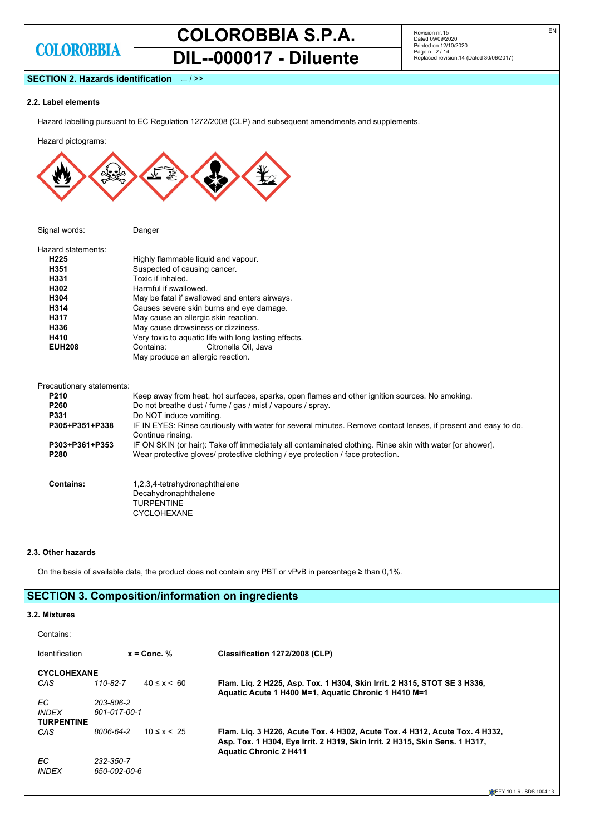# **COLOROBBIA S.P.A. DIL--000017 - Diluente**

Revision nr.15 Dated 09/09/2020 Printed on 12/10/2020 Page n. 2 / 14 Replaced revision:14 (Dated 30/06/2017)

# **SECTION 2. Hazards identification** ... / >>

### **2.2. Label elements**

Hazard labelling pursuant to EC Regulation 1272/2008 (CLP) and subsequent amendments and supplements.

Hazard pictograms:

| Signal words:      | Danger                                                |
|--------------------|-------------------------------------------------------|
| Hazard statements: |                                                       |
| H225               | Highly flammable liguid and vapour.                   |
| H351               | Suspected of causing cancer.                          |
| H331               | Toxic if inhaled.                                     |
| H302               | Harmful if swallowed                                  |
| H304               | May be fatal if swallowed and enters airways.         |
| H314               | Causes severe skin burns and eye damage.              |
| H317               | May cause an allergic skin reaction.                  |
| H336               | May cause drowsiness or dizziness.                    |
| H410               | Very toxic to aquatic life with long lasting effects. |
| <b>EUH208</b>      | Contains:<br>Citronella Oil, Java                     |
|                    | May produce an allergic reaction.                     |

#### Precautionary statements:

| $i$ cuadului lai y statements.     |                                                                                                                                                                                             |
|------------------------------------|---------------------------------------------------------------------------------------------------------------------------------------------------------------------------------------------|
| <b>P210</b>                        | Keep away from heat, hot surfaces, sparks, open flames and other ignition sources. No smoking.                                                                                              |
| <b>P260</b>                        | Do not breathe dust / fume / gas / mist / vapours / spray.                                                                                                                                  |
| <b>P331</b>                        | Do NOT induce vomiting.                                                                                                                                                                     |
| P305+P351+P338                     | IF IN EYES: Rinse cautiously with water for several minutes. Remove contact lenses, if present and easy to do.<br>Continue rinsing.                                                         |
| P303+P361+P353<br>P <sub>280</sub> | IF ON SKIN (or hair): Take off immediately all contaminated clothing. Rinse skin with water [or shower].<br>Wear protective gloves/ protective clothing / eye protection / face protection. |
| Contains:                          | 1,2,3,4-tetrahydronaphthalene<br>Decahydronaphthalene<br><b>TURPENTINE</b><br><b>CYCLOHEXANE</b>                                                                                            |

# **2.3. Other hazards**

On the basis of available data, the product does not contain any PBT or vPvB in percentage ≥ than 0,1%.

# **SECTION 3. Composition/information on ingredients**

# **3.2. Mixtures**

| Contains:                                |                           |                   |                                                                                                                                                                                             |
|------------------------------------------|---------------------------|-------------------|---------------------------------------------------------------------------------------------------------------------------------------------------------------------------------------------|
| <b>Identification</b>                    | $x =$ Conc. %             |                   | Classification 1272/2008 (CLP)                                                                                                                                                              |
| <b>CYCLOHEXANE</b><br>CAS                | 110-82-7                  | $40 \le x \le 60$ | Flam. Lig. 2 H225, Asp. Tox. 1 H304, Skin Irrit. 2 H315, STOT SE 3 H336,<br>Aquatic Acute 1 H400 M=1, Aquatic Chronic 1 H410 M=1                                                            |
| EC.<br><b>INDEX</b><br><b>TURPENTINE</b> | 203-806-2<br>601-017-00-1 |                   |                                                                                                                                                                                             |
| CAS                                      | 8006-64-2                 | $10 \le x < 25$   | Flam. Lig. 3 H226, Acute Tox. 4 H302, Acute Tox. 4 H312, Acute Tox. 4 H332,<br>Asp. Tox. 1 H304, Eye Irrit. 2 H319, Skin Irrit. 2 H315, Skin Sens. 1 H317,<br><b>Aquatic Chronic 2 H411</b> |
| EC.<br><b>INDEX</b>                      | 232-350-7<br>650-002-00-6 |                   |                                                                                                                                                                                             |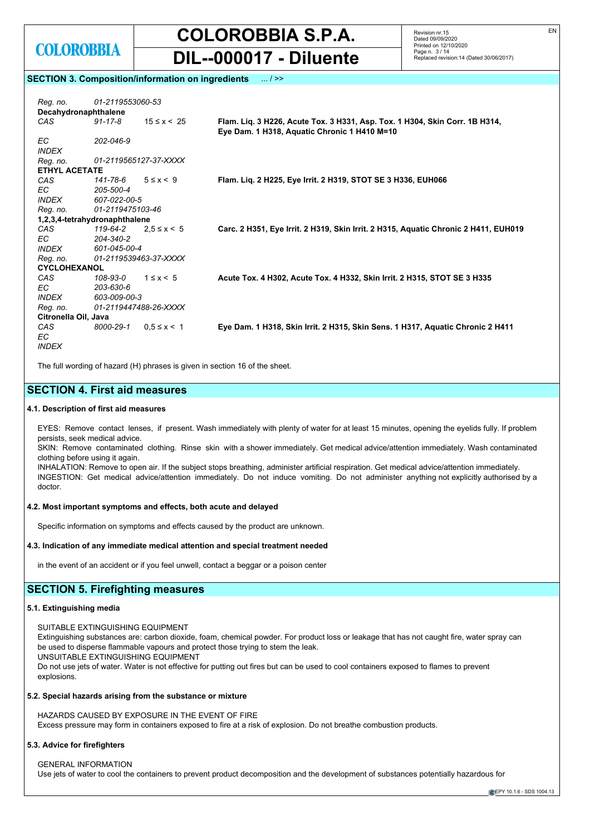

Revision nr.15 Dated 09/09/2020 Printed on 12/10/2020 Page n. 3 / 14 Replaced revision:14 (Dated 30/06/2017)

# **SECTION 3. Composition/information on ingredients** ... / >>

| Reg. no.                      | 01-2119553060-53 |                       |                                                                                                                             |
|-------------------------------|------------------|-----------------------|-----------------------------------------------------------------------------------------------------------------------------|
| Decahydronaphthalene          |                  |                       |                                                                                                                             |
| CAS                           | $91 - 17 - 8$    | $15 \le x < 25$       | Flam. Lig. 3 H226, Acute Tox. 3 H331, Asp. Tox. 1 H304, Skin Corr. 1B H314,<br>Eye Dam. 1 H318, Aquatic Chronic 1 H410 M=10 |
| EC.                           | 202-046-9        |                       |                                                                                                                             |
| <b>INDEX</b>                  |                  |                       |                                                                                                                             |
| Reg. no.                      |                  | 01-2119565127-37-XXXX |                                                                                                                             |
| <b>ETHYL ACETATE</b>          |                  |                       |                                                                                                                             |
| CAS                           | 141-78-6         | $5 \leq x \leq 9$     | Flam. Lig. 2 H225, Eye Irrit. 2 H319, STOT SE 3 H336, EUH066                                                                |
| EC                            | 205-500-4        |                       |                                                                                                                             |
| <i><b>INDEX</b></i>           | 607-022-00-5     |                       |                                                                                                                             |
| Reg. no.                      | 01-2119475103-46 |                       |                                                                                                                             |
| 1,2,3,4-tetrahydronaphthalene |                  |                       |                                                                                                                             |
| CAS                           | 119-64-2         | $2.5 \le x \le 5$     | Carc. 2 H351, Eye Irrit. 2 H319, Skin Irrit. 2 H315, Aquatic Chronic 2 H411, EUH019                                         |
| EC.                           | 204-340-2        |                       |                                                                                                                             |
| <i><b>INDEX</b></i>           | 601-045-00-4     |                       |                                                                                                                             |
| Reg. no.                      |                  | 01-2119539463-37-XXXX |                                                                                                                             |
| <b>CYCLOHEXANOL</b>           |                  |                       |                                                                                                                             |
| CAS                           | 108-93-0         | $1 \leq x \leq 5$     | Acute Tox. 4 H302, Acute Tox. 4 H332, Skin Irrit. 2 H315, STOT SE 3 H335                                                    |
| EC.                           | 203-630-6        |                       |                                                                                                                             |
| <i><b>INDEX</b></i>           | 603-009-00-3     |                       |                                                                                                                             |
| Reg. no.                      |                  | 01-2119447488-26-XXXX |                                                                                                                             |
| Citronella Oil, Java          |                  |                       |                                                                                                                             |
| CAS                           | 8000-29-1        | $0.5 \le x \le 1$     | Eye Dam. 1 H318, Skin Irrit. 2 H315, Skin Sens. 1 H317, Aquatic Chronic 2 H411                                              |
| ЕC                            |                  |                       |                                                                                                                             |
| <b>INDEX</b>                  |                  |                       |                                                                                                                             |
|                               |                  |                       |                                                                                                                             |

The full wording of hazard (H) phrases is given in section 16 of the sheet.

# **SECTION 4. First aid measures**

# **4.1. Description of first aid measures**

EYES: Remove contact lenses, if present. Wash immediately with plenty of water for at least 15 minutes, opening the eyelids fully. If problem persists, seek medical advice.

SKIN: Remove contaminated clothing. Rinse skin with a shower immediately. Get medical advice/attention immediately. Wash contaminated clothing before using it again.

INHALATION: Remove to open air. If the subject stops breathing, administer artificial respiration. Get medical advice/attention immediately. INGESTION: Get medical advice/attention immediately. Do not induce vomiting. Do not administer anything not explicitly authorised by a doctor.

# **4.2. Most important symptoms and effects, both acute and delayed**

Specific information on symptoms and effects caused by the product are unknown.

#### **4.3. Indication of any immediate medical attention and special treatment needed**

in the event of an accident or if you feel unwell, contact a beggar or a poison center

# **SECTION 5. Firefighting measures**

#### **5.1. Extinguishing media**

SUITABLE EXTINGUISHING EQUIPMENT

Extinguishing substances are: carbon dioxide, foam, chemical powder. For product loss or leakage that has not caught fire, water spray can be used to disperse flammable vapours and protect those trying to stem the leak.

UNSUITABLE EXTINGUISHING EQUIPMENT

Do not use jets of water. Water is not effective for putting out fires but can be used to cool containers exposed to flames to prevent explosions.

### **5.2. Special hazards arising from the substance or mixture**

HAZARDS CAUSED BY EXPOSURE IN THE EVENT OF FIRE Excess pressure may form in containers exposed to fire at a risk of explosion. Do not breathe combustion products.

#### **5.3. Advice for firefighters**

GENERAL INFORMATION Use jets of water to cool the containers to prevent product decomposition and the development of substances potentially hazardous for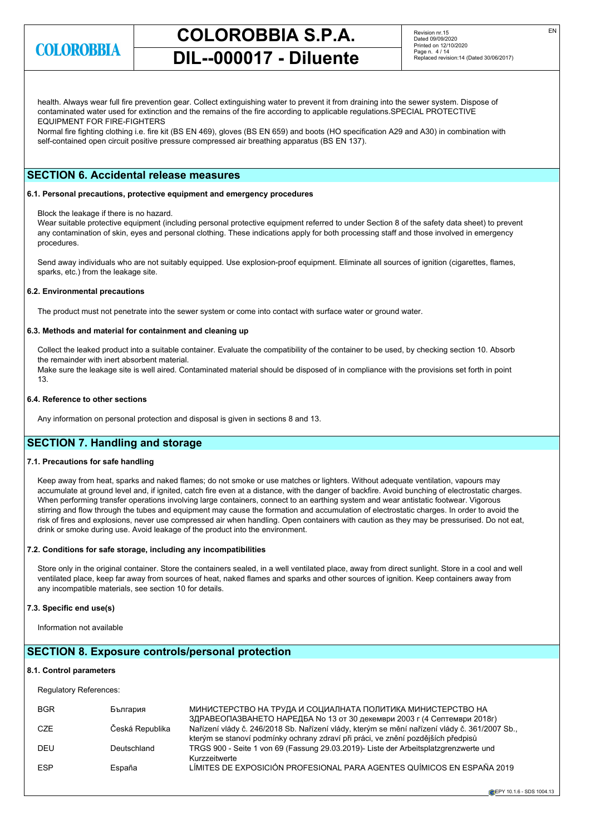

# **COLOROBBIA S.P.A.**

**DIL--000017 - Diluente**

Revision nr.15 Dated 09/09/2020 Printed on 12/10/2020 Page n. 4 / 14 Replaced revision:14 (Dated 30/06/2017)

health. Always wear full fire prevention gear. Collect extinguishing water to prevent it from draining into the sewer system. Dispose of contaminated water used for extinction and the remains of the fire according to applicable regulations.SPECIAL PROTECTIVE EQUIPMENT FOR FIRE-FIGHTERS

Normal fire fighting clothing i.e. fire kit (BS EN 469), gloves (BS EN 659) and boots (HO specification A29 and A30) in combination with self-contained open circuit positive pressure compressed air breathing apparatus (BS EN 137).

# **SECTION 6. Accidental release measures**

#### **6.1. Personal precautions, protective equipment and emergency procedures**

Block the leakage if there is no hazard.

Wear suitable protective equipment (including personal protective equipment referred to under Section 8 of the safety data sheet) to prevent any contamination of skin, eyes and personal clothing. These indications apply for both processing staff and those involved in emergency procedures.

Send away individuals who are not suitably equipped. Use explosion-proof equipment. Eliminate all sources of ignition (cigarettes, flames, sparks, etc.) from the leakage site.

#### **6.2. Environmental precautions**

The product must not penetrate into the sewer system or come into contact with surface water or ground water.

# **6.3. Methods and material for containment and cleaning up**

Collect the leaked product into a suitable container. Evaluate the compatibility of the container to be used, by checking section 10. Absorb the remainder with inert absorbent material. Make sure the leakage site is well aired. Contaminated material should be disposed of in compliance with the provisions set forth in point 13.

#### **6.4. Reference to other sections**

Any information on personal protection and disposal is given in sections 8 and 13.

# **SECTION 7. Handling and storage**

### **7.1. Precautions for safe handling**

Keep away from heat, sparks and naked flames; do not smoke or use matches or lighters. Without adequate ventilation, vapours may accumulate at ground level and, if ignited, catch fire even at a distance, with the danger of backfire. Avoid bunching of electrostatic charges. When performing transfer operations involving large containers, connect to an earthing system and wear antistatic footwear. Vigorous stirring and flow through the tubes and equipment may cause the formation and accumulation of electrostatic charges. In order to avoid the risk of fires and explosions, never use compressed air when handling. Open containers with caution as they may be pressurised. Do not eat, drink or smoke during use. Avoid leakage of the product into the environment.

### **7.2. Conditions for safe storage, including any incompatibilities**

Store only in the original container. Store the containers sealed, in a well ventilated place, away from direct sunlight. Store in a cool and well ventilated place, keep far away from sources of heat, naked flames and sparks and other sources of ignition. Keep containers away from any incompatible materials, see section 10 for details.

#### **7.3. Specific end use(s)**

Information not available

# **SECTION 8. Exposure controls/personal protection**

#### **8.1. Control parameters**

Regulatory References:

| <b>BGR</b> | България        | МИНИСТЕРСТВО НА ТРУДА И СОЦИАЛНАТА ПОЛИТИКА МИНИСТЕРСТВО НА<br>ЗДРАВЕОПАЗВАНЕТО НАРЕДБА № 13 от 30 декември 2003 г (4 Септември 2018г)                                             |
|------------|-----------------|------------------------------------------------------------------------------------------------------------------------------------------------------------------------------------|
| CZE        | Česká Republika | Nařízení vlády č. 246/2018 Sb. Nařízení vlády, kterým se mění nařízení vlády č. 361/2007 Sb.,<br>kterým se stanoví podmínky ochrany zdraví při práci, ve znění pozdějších předpisů |
| DEU        | Deutschland     | TRGS 900 - Seite 1 von 69 (Fassung 29.03.2019)- Liste der Arbeitsplatzgrenzwerte und<br>Kurzzeitwerte                                                                              |
| <b>ESP</b> | España          | LÍMITES DE EXPOSICIÓN PROFESIONAL PARA AGENTES QUÍMICOS EN ESPAÑA 2019                                                                                                             |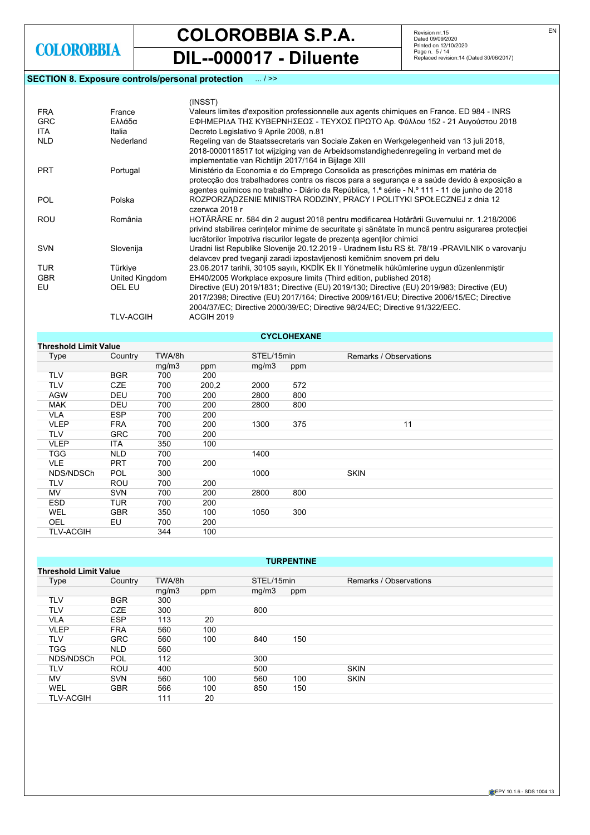**COLOROBBIA S.P.A.**

**DIL--000017 - Diluente**

# **SECTION 8. Exposure controls/personal protection** ... / >>

Revision nr.15 Dated 09/09/2020 Printed on 12/10/2020 Page n. 5 / 14 Replaced revision:14 (Dated 30/06/2017)

|            |                  | (INSST)                                                                                                                                                                   |
|------------|------------------|---------------------------------------------------------------------------------------------------------------------------------------------------------------------------|
| <b>FRA</b> | France           | Valeurs limites d'exposition professionnelle aux agents chimiques en France. ED 984 - INRS                                                                                |
| <b>GRC</b> | Ελλάδα           | ΕΦΗΜΕΡΙΔΑ ΤΗΣ ΚΥΒΕΡΝΗΣΕΩΣ - ΤΕΥΧΟΣ ΠΡΩΤΟ Αρ. Φύλλου 152 - 21 Αυγούστου 2018                                                                                               |
| ITA.       | Italia           | Decreto Legislativo 9 Aprile 2008, n.81                                                                                                                                   |
| <b>NLD</b> | Nederland        | Regeling van de Staatssecretaris van Sociale Zaken en Werkgelegenheid van 13 juli 2018,                                                                                   |
|            |                  | 2018-0000118517 tot wijziging van de Arbeidsomstandighedenregeling in verband met de                                                                                      |
|            |                  | implementatie van Richtlijn 2017/164 in Bijlage XIII                                                                                                                      |
| <b>PRT</b> | Portugal         | Ministério da Economia e do Emprego Consolida as prescrições mínimas em matéria de                                                                                        |
|            |                  | protecção dos trabalhadores contra os riscos para a segurança e a saúde devido à exposição a                                                                              |
|            |                  | agentes químicos no trabalho - Diário da República, 1.ª série - N.º 111 - 11 de junho de 2018                                                                             |
| <b>POL</b> | Polska           | ROZPORZĄDZENIE MINISTRA RODZINY, PRACY I POLITYKI SPOŁECZNEJ z dnia 12                                                                                                    |
|            |                  | czerwca 2018 r                                                                                                                                                            |
| <b>ROU</b> | România          | HOTĂRÂRE nr. 584 din 2 august 2018 pentru modificarea Hotărârii Guvernului nr. 1.218/2006                                                                                 |
|            |                  | privind stabilirea cerințelor minime de securitate și sănătate în muncă pentru asigurarea protecției                                                                      |
|            |                  | lucrătorilor împotriva riscurilor legate de prezența agenților chimici                                                                                                    |
| <b>SVN</b> | Slovenija        | Uradni list Republike Slovenije 20.12.2019 - Uradnem listu RS št. 78/19 -PRAVILNIK o varovanju<br>delavcev pred tveganji zaradi izpostavljenosti kemičnim snovem pri delu |
| <b>TUR</b> | Türkiye          | 23.06.2017 tarihli, 30105 sayılı, KKDİK Ek II Yönetmelik hükümlerine uygun düzenlenmiştir                                                                                 |
| <b>GBR</b> | United Kingdom   | EH40/2005 Workplace exposure limits (Third edition, published 2018)                                                                                                       |
| EU         | OEL EU           | Directive (EU) 2019/1831; Directive (EU) 2019/130; Directive (EU) 2019/983; Directive (EU)                                                                                |
|            |                  | 2017/2398; Directive (EU) 2017/164; Directive 2009/161/EU; Directive 2006/15/EC; Directive                                                                                |
|            |                  | 2004/37/EC; Directive 2000/39/EC; Directive 98/24/EC; Directive 91/322/EEC.                                                                                               |
|            | <b>TLV-ACGIH</b> | ACGIH 2019                                                                                                                                                                |
|            |                  |                                                                                                                                                                           |

| <b>CYCLOHEXANE</b>           |            |        |       |            |     |                        |  |  |  |  |
|------------------------------|------------|--------|-------|------------|-----|------------------------|--|--|--|--|
| <b>Threshold Limit Value</b> |            |        |       |            |     |                        |  |  |  |  |
| Type                         | Country    | TWA/8h |       | STEL/15min |     | Remarks / Observations |  |  |  |  |
|                              |            | mg/m3  | ppm   | mg/m3      | ppm |                        |  |  |  |  |
| <b>TLV</b>                   | <b>BGR</b> | 700    | 200   |            |     |                        |  |  |  |  |
| <b>TLV</b>                   | <b>CZE</b> | 700    | 200,2 | 2000       | 572 |                        |  |  |  |  |
| <b>AGW</b>                   | <b>DEU</b> | 700    | 200   | 2800       | 800 |                        |  |  |  |  |
| <b>MAK</b>                   | DEU        | 700    | 200   | 2800       | 800 |                        |  |  |  |  |
| <b>VLA</b>                   | <b>ESP</b> | 700    | 200   |            |     |                        |  |  |  |  |
| <b>VLEP</b>                  | <b>FRA</b> | 700    | 200   | 1300       | 375 | 11                     |  |  |  |  |
| <b>TLV</b>                   | <b>GRC</b> | 700    | 200   |            |     |                        |  |  |  |  |
| <b>VLEP</b>                  | <b>ITA</b> | 350    | 100   |            |     |                        |  |  |  |  |
| <b>TGG</b>                   | <b>NLD</b> | 700    |       | 1400       |     |                        |  |  |  |  |
| <b>VLE</b>                   | <b>PRT</b> | 700    | 200   |            |     |                        |  |  |  |  |
| NDS/NDSCh                    | <b>POL</b> | 300    |       | 1000       |     | <b>SKIN</b>            |  |  |  |  |
| <b>TLV</b>                   | <b>ROU</b> | 700    | 200   |            |     |                        |  |  |  |  |
| MV.                          | <b>SVN</b> | 700    | 200   | 2800       | 800 |                        |  |  |  |  |
| <b>ESD</b>                   | <b>TUR</b> | 700    | 200   |            |     |                        |  |  |  |  |
| WEL                          | <b>GBR</b> | 350    | 100   | 1050       | 300 |                        |  |  |  |  |
| OEL                          | EU         | 700    | 200   |            |     |                        |  |  |  |  |
| <b>TLV-ACGIH</b>             |            | 344    | 100   |            |     |                        |  |  |  |  |

| <b>TURPENTINE</b>            |            |        |     |            |     |                        |  |  |  |  |
|------------------------------|------------|--------|-----|------------|-----|------------------------|--|--|--|--|
| <b>Threshold Limit Value</b> |            |        |     |            |     |                        |  |  |  |  |
| Type                         | Country    | TWA/8h |     | STEL/15min |     | Remarks / Observations |  |  |  |  |
|                              |            | mg/m3  | ppm | mg/m3      | ppm |                        |  |  |  |  |
| TLV                          | <b>BGR</b> | 300    |     |            |     |                        |  |  |  |  |
| <b>TLV</b>                   | <b>CZE</b> | 300    |     | 800        |     |                        |  |  |  |  |
| <b>VLA</b>                   | <b>ESP</b> | 113    | 20  |            |     |                        |  |  |  |  |
| <b>VLEP</b>                  | <b>FRA</b> | 560    | 100 |            |     |                        |  |  |  |  |
| TLV                          | <b>GRC</b> | 560    | 100 | 840        | 150 |                        |  |  |  |  |
| <b>TGG</b>                   | <b>NLD</b> | 560    |     |            |     |                        |  |  |  |  |
| NDS/NDSCh                    | POL        | 112    |     | 300        |     |                        |  |  |  |  |
| TLV                          | ROU        | 400    |     | 500        |     | <b>SKIN</b>            |  |  |  |  |
| <b>MV</b>                    | <b>SVN</b> | 560    | 100 | 560        | 100 | <b>SKIN</b>            |  |  |  |  |
| WEL                          | <b>GBR</b> | 566    | 100 | 850        | 150 |                        |  |  |  |  |
| <b>TLV-ACGIH</b>             |            | 111    | 20  |            |     |                        |  |  |  |  |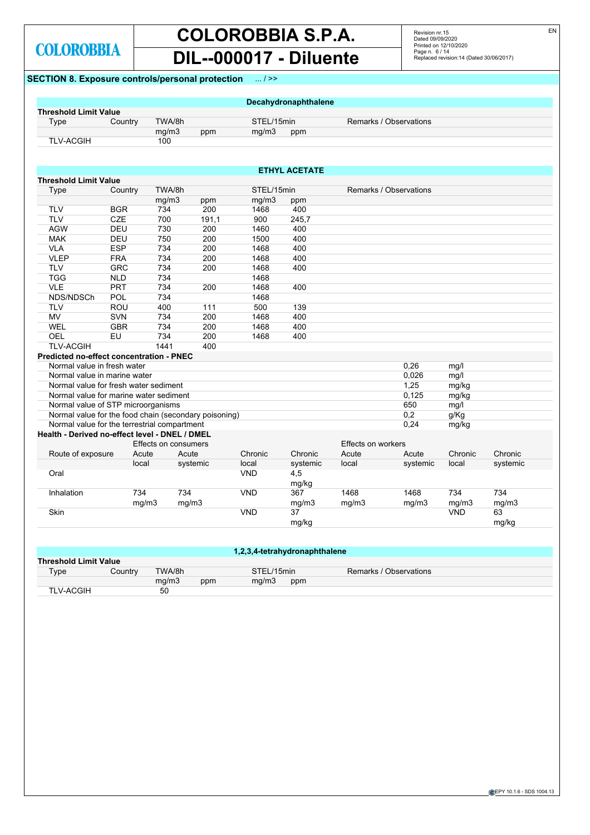# **COLOROBBIA S.P.A. DIL--000017 - Diluente**

Revision nr.15 Dated 09/09/2020 Printed on 12/10/2020 Page n. 6 / 14 Replaced revision:14 (Dated 30/06/2017)

# **SECTION 8. Exposure controls/personal protection** ... / >>

| <b>Threshold Limit Value</b><br>Country | TWA/8h<br>mg/m3<br>100                                                                                                                                                                   | ppm                                                                                                                                                                                                                          | STEL/15min                                                                                                                                                                                                                                                                                                                       | Decahydronaphthalene                                                                                                                                                                                | Remarks / Observations                                                                                                                                                    |                                 |                                                                                                                                            |                                                                                                           |
|-----------------------------------------|------------------------------------------------------------------------------------------------------------------------------------------------------------------------------------------|------------------------------------------------------------------------------------------------------------------------------------------------------------------------------------------------------------------------------|----------------------------------------------------------------------------------------------------------------------------------------------------------------------------------------------------------------------------------------------------------------------------------------------------------------------------------|-----------------------------------------------------------------------------------------------------------------------------------------------------------------------------------------------------|---------------------------------------------------------------------------------------------------------------------------------------------------------------------------|---------------------------------|--------------------------------------------------------------------------------------------------------------------------------------------|-----------------------------------------------------------------------------------------------------------|
|                                         |                                                                                                                                                                                          |                                                                                                                                                                                                                              |                                                                                                                                                                                                                                                                                                                                  |                                                                                                                                                                                                     |                                                                                                                                                                           |                                 |                                                                                                                                            |                                                                                                           |
|                                         |                                                                                                                                                                                          |                                                                                                                                                                                                                              |                                                                                                                                                                                                                                                                                                                                  |                                                                                                                                                                                                     |                                                                                                                                                                           |                                 |                                                                                                                                            |                                                                                                           |
|                                         |                                                                                                                                                                                          |                                                                                                                                                                                                                              | mg/m3                                                                                                                                                                                                                                                                                                                            | ppm                                                                                                                                                                                                 |                                                                                                                                                                           |                                 |                                                                                                                                            |                                                                                                           |
|                                         |                                                                                                                                                                                          |                                                                                                                                                                                                                              |                                                                                                                                                                                                                                                                                                                                  |                                                                                                                                                                                                     |                                                                                                                                                                           |                                 |                                                                                                                                            |                                                                                                           |
|                                         |                                                                                                                                                                                          |                                                                                                                                                                                                                              |                                                                                                                                                                                                                                                                                                                                  |                                                                                                                                                                                                     |                                                                                                                                                                           |                                 |                                                                                                                                            |                                                                                                           |
|                                         |                                                                                                                                                                                          |                                                                                                                                                                                                                              |                                                                                                                                                                                                                                                                                                                                  |                                                                                                                                                                                                     |                                                                                                                                                                           |                                 |                                                                                                                                            |                                                                                                           |
| <b>Threshold Limit Value</b>            |                                                                                                                                                                                          |                                                                                                                                                                                                                              |                                                                                                                                                                                                                                                                                                                                  |                                                                                                                                                                                                     |                                                                                                                                                                           |                                 |                                                                                                                                            |                                                                                                           |
|                                         | TWA/8h                                                                                                                                                                                   |                                                                                                                                                                                                                              |                                                                                                                                                                                                                                                                                                                                  |                                                                                                                                                                                                     |                                                                                                                                                                           |                                 |                                                                                                                                            |                                                                                                           |
|                                         |                                                                                                                                                                                          |                                                                                                                                                                                                                              |                                                                                                                                                                                                                                                                                                                                  |                                                                                                                                                                                                     |                                                                                                                                                                           |                                 |                                                                                                                                            |                                                                                                           |
| <b>BGR</b>                              |                                                                                                                                                                                          | 200                                                                                                                                                                                                                          | 1468                                                                                                                                                                                                                                                                                                                             | 400                                                                                                                                                                                                 |                                                                                                                                                                           |                                 |                                                                                                                                            |                                                                                                           |
| CZE                                     | 700                                                                                                                                                                                      |                                                                                                                                                                                                                              | 900                                                                                                                                                                                                                                                                                                                              |                                                                                                                                                                                                     |                                                                                                                                                                           |                                 |                                                                                                                                            |                                                                                                           |
|                                         |                                                                                                                                                                                          |                                                                                                                                                                                                                              |                                                                                                                                                                                                                                                                                                                                  |                                                                                                                                                                                                     |                                                                                                                                                                           |                                 |                                                                                                                                            |                                                                                                           |
| DEU                                     | 750                                                                                                                                                                                      | 200                                                                                                                                                                                                                          | 1500                                                                                                                                                                                                                                                                                                                             | 400                                                                                                                                                                                                 |                                                                                                                                                                           |                                 |                                                                                                                                            |                                                                                                           |
| <b>ESP</b>                              | 734                                                                                                                                                                                      | 200                                                                                                                                                                                                                          | 1468                                                                                                                                                                                                                                                                                                                             | 400                                                                                                                                                                                                 |                                                                                                                                                                           |                                 |                                                                                                                                            |                                                                                                           |
|                                         |                                                                                                                                                                                          |                                                                                                                                                                                                                              | 1468                                                                                                                                                                                                                                                                                                                             | 400                                                                                                                                                                                                 |                                                                                                                                                                           |                                 |                                                                                                                                            |                                                                                                           |
|                                         |                                                                                                                                                                                          |                                                                                                                                                                                                                              |                                                                                                                                                                                                                                                                                                                                  |                                                                                                                                                                                                     |                                                                                                                                                                           |                                 |                                                                                                                                            |                                                                                                           |
|                                         |                                                                                                                                                                                          |                                                                                                                                                                                                                              |                                                                                                                                                                                                                                                                                                                                  |                                                                                                                                                                                                     |                                                                                                                                                                           |                                 |                                                                                                                                            |                                                                                                           |
|                                         |                                                                                                                                                                                          |                                                                                                                                                                                                                              |                                                                                                                                                                                                                                                                                                                                  |                                                                                                                                                                                                     |                                                                                                                                                                           |                                 |                                                                                                                                            |                                                                                                           |
|                                         |                                                                                                                                                                                          |                                                                                                                                                                                                                              |                                                                                                                                                                                                                                                                                                                                  |                                                                                                                                                                                                     |                                                                                                                                                                           |                                 |                                                                                                                                            |                                                                                                           |
|                                         |                                                                                                                                                                                          |                                                                                                                                                                                                                              |                                                                                                                                                                                                                                                                                                                                  |                                                                                                                                                                                                     |                                                                                                                                                                           |                                 |                                                                                                                                            |                                                                                                           |
|                                         |                                                                                                                                                                                          |                                                                                                                                                                                                                              |                                                                                                                                                                                                                                                                                                                                  |                                                                                                                                                                                                     |                                                                                                                                                                           |                                 |                                                                                                                                            |                                                                                                           |
|                                         |                                                                                                                                                                                          |                                                                                                                                                                                                                              |                                                                                                                                                                                                                                                                                                                                  |                                                                                                                                                                                                     |                                                                                                                                                                           |                                 |                                                                                                                                            |                                                                                                           |
|                                         |                                                                                                                                                                                          |                                                                                                                                                                                                                              |                                                                                                                                                                                                                                                                                                                                  |                                                                                                                                                                                                     |                                                                                                                                                                           |                                 |                                                                                                                                            |                                                                                                           |
|                                         | 1441                                                                                                                                                                                     |                                                                                                                                                                                                                              |                                                                                                                                                                                                                                                                                                                                  |                                                                                                                                                                                                     |                                                                                                                                                                           |                                 |                                                                                                                                            |                                                                                                           |
|                                         |                                                                                                                                                                                          |                                                                                                                                                                                                                              |                                                                                                                                                                                                                                                                                                                                  |                                                                                                                                                                                                     |                                                                                                                                                                           |                                 |                                                                                                                                            |                                                                                                           |
|                                         |                                                                                                                                                                                          |                                                                                                                                                                                                                              |                                                                                                                                                                                                                                                                                                                                  |                                                                                                                                                                                                     |                                                                                                                                                                           |                                 |                                                                                                                                            |                                                                                                           |
|                                         |                                                                                                                                                                                          |                                                                                                                                                                                                                              |                                                                                                                                                                                                                                                                                                                                  |                                                                                                                                                                                                     |                                                                                                                                                                           |                                 |                                                                                                                                            |                                                                                                           |
|                                         |                                                                                                                                                                                          |                                                                                                                                                                                                                              |                                                                                                                                                                                                                                                                                                                                  |                                                                                                                                                                                                     |                                                                                                                                                                           |                                 |                                                                                                                                            |                                                                                                           |
|                                         |                                                                                                                                                                                          |                                                                                                                                                                                                                              |                                                                                                                                                                                                                                                                                                                                  |                                                                                                                                                                                                     |                                                                                                                                                                           |                                 |                                                                                                                                            |                                                                                                           |
|                                         |                                                                                                                                                                                          |                                                                                                                                                                                                                              |                                                                                                                                                                                                                                                                                                                                  |                                                                                                                                                                                                     |                                                                                                                                                                           |                                 |                                                                                                                                            |                                                                                                           |
|                                         |                                                                                                                                                                                          |                                                                                                                                                                                                                              |                                                                                                                                                                                                                                                                                                                                  |                                                                                                                                                                                                     |                                                                                                                                                                           |                                 |                                                                                                                                            |                                                                                                           |
|                                         |                                                                                                                                                                                          |                                                                                                                                                                                                                              |                                                                                                                                                                                                                                                                                                                                  |                                                                                                                                                                                                     |                                                                                                                                                                           |                                 |                                                                                                                                            |                                                                                                           |
|                                         |                                                                                                                                                                                          |                                                                                                                                                                                                                              |                                                                                                                                                                                                                                                                                                                                  |                                                                                                                                                                                                     |                                                                                                                                                                           |                                 |                                                                                                                                            |                                                                                                           |
|                                         |                                                                                                                                                                                          |                                                                                                                                                                                                                              |                                                                                                                                                                                                                                                                                                                                  |                                                                                                                                                                                                     |                                                                                                                                                                           |                                 |                                                                                                                                            |                                                                                                           |
|                                         |                                                                                                                                                                                          |                                                                                                                                                                                                                              |                                                                                                                                                                                                                                                                                                                                  |                                                                                                                                                                                                     |                                                                                                                                                                           |                                 |                                                                                                                                            | Chronic                                                                                                   |
|                                         |                                                                                                                                                                                          |                                                                                                                                                                                                                              |                                                                                                                                                                                                                                                                                                                                  |                                                                                                                                                                                                     |                                                                                                                                                                           |                                 |                                                                                                                                            | systemic                                                                                                  |
|                                         |                                                                                                                                                                                          |                                                                                                                                                                                                                              |                                                                                                                                                                                                                                                                                                                                  |                                                                                                                                                                                                     |                                                                                                                                                                           |                                 |                                                                                                                                            |                                                                                                           |
|                                         |                                                                                                                                                                                          |                                                                                                                                                                                                                              |                                                                                                                                                                                                                                                                                                                                  |                                                                                                                                                                                                     |                                                                                                                                                                           |                                 |                                                                                                                                            |                                                                                                           |
|                                         |                                                                                                                                                                                          |                                                                                                                                                                                                                              |                                                                                                                                                                                                                                                                                                                                  |                                                                                                                                                                                                     |                                                                                                                                                                           |                                 |                                                                                                                                            | 734                                                                                                       |
|                                         |                                                                                                                                                                                          |                                                                                                                                                                                                                              |                                                                                                                                                                                                                                                                                                                                  |                                                                                                                                                                                                     |                                                                                                                                                                           |                                 |                                                                                                                                            | mg/m3                                                                                                     |
|                                         |                                                                                                                                                                                          |                                                                                                                                                                                                                              |                                                                                                                                                                                                                                                                                                                                  |                                                                                                                                                                                                     |                                                                                                                                                                           |                                 |                                                                                                                                            | 63                                                                                                        |
|                                         |                                                                                                                                                                                          |                                                                                                                                                                                                                              |                                                                                                                                                                                                                                                                                                                                  |                                                                                                                                                                                                     |                                                                                                                                                                           |                                 |                                                                                                                                            | mg/kg                                                                                                     |
|                                         | Country<br>DEU<br><b>FRA</b><br><b>GRC</b><br><b>NLD</b><br><b>PRT</b><br>POL<br><b>ROU</b><br><b>SVN</b><br><b>GBR</b><br>EU<br>Normal value in fresh water<br>Route of exposure<br>734 | mg/m3<br>734<br>730<br>734<br>734<br>734<br>734<br>734<br>400<br>734<br>734<br>734<br>Normal value in marine water<br>Normal value for fresh water sediment<br>Normal value of STP microorganisms<br>Acute<br>local<br>mg/m3 | ppm<br>191,1<br>200<br>200<br>200<br>200<br>111<br>200<br>200<br>200<br>400<br>Predicted no-effect concentration - PNEC<br>Normal value for marine water sediment<br>Normal value for the terrestrial compartment<br>Health - Derived no-effect level - DNEL / DMEL<br>Effects on consumers<br>Acute<br>systemic<br>734<br>mg/m3 | mg/m3<br>1460<br>1468<br>1468<br>1468<br>1468<br>500<br>1468<br>1468<br>1468<br>Normal value for the food chain (secondary poisoning)<br>Chronic<br>local<br><b>VND</b><br><b>VND</b><br><b>VND</b> | <b>ETHYL ACETATE</b><br>STEL/15min<br>ppm<br>245,7<br>400<br>400<br>400<br>139<br>400<br>400<br>400<br>Chronic<br>systemic<br>4,5<br>mg/kg<br>367<br>mg/m3<br>37<br>mg/kg | Acute<br>local<br>1468<br>mg/m3 | Remarks / Observations<br>0,26<br>0,026<br>1,25<br>0,125<br>650<br>0,2<br>0,24<br>Effects on workers<br>Acute<br>systemic<br>1468<br>mg/m3 | mg/l<br>mg/l<br>mg/kg<br>mg/kg<br>mg/l<br>g/Kg<br>mg/kg<br>Chronic<br>local<br>734<br>mg/m3<br><b>VND</b> |

| 1,2,3,4-tetrahydronaphthalene |         |        |     |            |     |                        |  |  |
|-------------------------------|---------|--------|-----|------------|-----|------------------------|--|--|
| <b>Threshold Limit Value</b>  |         |        |     |            |     |                        |  |  |
| Type                          | Country | TWA/8h |     | STEL/15min |     | Remarks / Observations |  |  |
|                               |         | mq/m3  | ppm | ma/m3      | ppm |                        |  |  |
| <b>TLV-ACGIH</b>              |         | 50     |     |            |     |                        |  |  |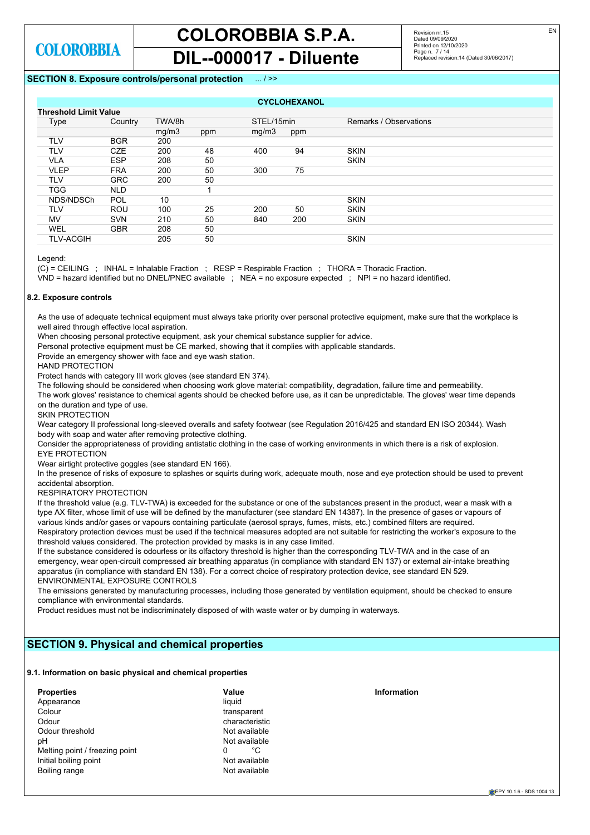Revision nr.15 Dated 09/09/2020 Printed on 12/10/2020 Page n. 7 / 14 Replaced revision:14 (Dated 30/06/2017)

# **SECTION 8. Exposure controls/personal protection** ... / >>

| <b>CYCLOHEXANOL</b>          |            |        |     |            |     |                        |  |
|------------------------------|------------|--------|-----|------------|-----|------------------------|--|
| <b>Threshold Limit Value</b> |            |        |     |            |     |                        |  |
| Type                         | Country    | TWA/8h |     | STEL/15min |     | Remarks / Observations |  |
|                              |            | mg/m3  | ppm | mg/m3      | ppm |                        |  |
| TLV                          | <b>BGR</b> | 200    |     |            |     |                        |  |
| <b>TLV</b>                   | <b>CZE</b> | 200    | 48  | 400        | 94  | <b>SKIN</b>            |  |
| VLA                          | <b>ESP</b> | 208    | 50  |            |     | <b>SKIN</b>            |  |
| <b>VLEP</b>                  | <b>FRA</b> | 200    | 50  | 300        | 75  |                        |  |
| TLV                          | <b>GRC</b> | 200    | 50  |            |     |                        |  |
| <b>TGG</b>                   | <b>NLD</b> |        |     |            |     |                        |  |
| NDS/NDSCh                    | <b>POL</b> | 10     |     |            |     | <b>SKIN</b>            |  |
| TLV                          | <b>ROU</b> | 100    | 25  | 200        | 50  | <b>SKIN</b>            |  |
| MV                           | <b>SVN</b> | 210    | 50  | 840        | 200 | <b>SKIN</b>            |  |
| WEL                          | <b>GBR</b> | 208    | 50  |            |     |                        |  |
| <b>TLV-ACGIH</b>             |            | 205    | 50  |            |     | <b>SKIN</b>            |  |

Legend:

(C) = CEILING ; INHAL = Inhalable Fraction ; RESP = Respirable Fraction ; THORA = Thoracic Fraction.

VND = hazard identified but no DNEL/PNEC available ; NEA = no exposure expected ; NPI = no hazard identified.

# **8.2. Exposure controls**

As the use of adequate technical equipment must always take priority over personal protective equipment, make sure that the workplace is well aired through effective local aspiration

When choosing personal protective equipment, ask your chemical substance supplier for advice.

Personal protective equipment must be CE marked, showing that it complies with applicable standards.

Provide an emergency shower with face and eye wash station.

HAND PROTECTION

Protect hands with category III work gloves (see standard EN 374).

The following should be considered when choosing work glove material: compatibility, degradation, failure time and permeability.

The work gloves' resistance to chemical agents should be checked before use, as it can be unpredictable. The gloves' wear time depends on the duration and type of use.

SKIN PROTECTION

Wear category II professional long-sleeved overalls and safety footwear (see Regulation 2016/425 and standard EN ISO 20344). Wash body with soap and water after removing protective clothing.

Consider the appropriateness of providing antistatic clothing in the case of working environments in which there is a risk of explosion. EYE PROTECTION

Wear airtight protective goggles (see standard EN 166).

In the presence of risks of exposure to splashes or squirts during work, adequate mouth, nose and eye protection should be used to prevent accidental absorption.

RESPIRATORY PROTECTION

If the threshold value (e.g. TLV-TWA) is exceeded for the substance or one of the substances present in the product, wear a mask with a type AX filter, whose limit of use will be defined by the manufacturer (see standard EN 14387). In the presence of gases or vapours of various kinds and/or gases or vapours containing particulate (aerosol sprays, fumes, mists, etc.) combined filters are required. Respiratory protection devices must be used if the technical measures adopted are not suitable for restricting the worker's exposure to the threshold values considered. The protection provided by masks is in any case limited.

If the substance considered is odourless or its olfactory threshold is higher than the corresponding TLV-TWA and in the case of an emergency, wear open-circuit compressed air breathing apparatus (in compliance with standard EN 137) or external air-intake breathing apparatus (in compliance with standard EN 138). For a correct choice of respiratory protection device, see standard EN 529. ENVIRONMENTAL EXPOSURE CONTROLS

The emissions generated by manufacturing processes, including those generated by ventilation equipment, should be checked to ensure compliance with environmental standards.

Product residues must not be indiscriminately disposed of with waste water or by dumping in waterways.

# **SECTION 9. Physical and chemical properties**

## **9.1. Information on basic physical and chemical properties**

| <b>Properties</b>              | Value          | Information |
|--------------------------------|----------------|-------------|
| Appearance                     | liauid         |             |
| Colour                         | transparent    |             |
| Odour                          | characteristic |             |
| Odour threshold                | Not available  |             |
| pН                             | Not available  |             |
| Melting point / freezing point | °C<br>0        |             |
| Initial boiling point          | Not available  |             |
| Boiling range                  | Not available  |             |
|                                |                |             |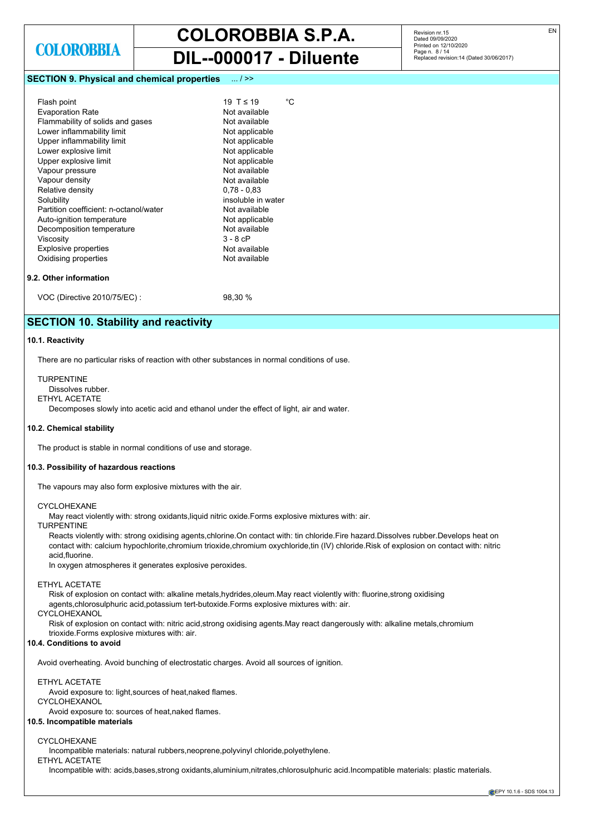# **COLOROBBIA S.P.A.**

# **DIL--000017 - Diluente**

# **SECTION 9. Physical and chemical properties** ... / >>

| Flash point                            | °C<br>19 T $\leq$ 19 |
|----------------------------------------|----------------------|
| <b>Evaporation Rate</b>                | Not available        |
| Flammability of solids and gases       | Not available        |
| Lower inflammability limit             | Not applicable       |
| Upper inflammability limit             | Not applicable       |
| Lower explosive limit                  | Not applicable       |
| Upper explosive limit                  | Not applicable       |
| Vapour pressure                        | Not available        |
| Vapour density                         | Not available        |
| Relative density                       | $0.78 - 0.83$        |
| Solubility                             | insoluble in water   |
| Partition coefficient: n-octanol/water | Not available        |
| Auto-ignition temperature              | Not applicable       |
| Decomposition temperature              | Not available        |
| Viscosity                              | $3 - 8$ $cP$         |
| <b>Explosive properties</b>            | Not available        |
| Oxidising properties                   | Not available        |
|                                        |                      |

# **9.2. Other information**

VOC (Directive 2010/75/EC) : 98,30 %

# **SECTION 10. Stability and reactivity**

# **10.1. Reactivity**

There are no particular risks of reaction with other substances in normal conditions of use.

TURPENTINE Dissolves rubber. ETHYL ACETATE

Decomposes slowly into acetic acid and ethanol under the effect of light, air and water.

# **10.2. Chemical stability**

The product is stable in normal conditions of use and storage.

### **10.3. Possibility of hazardous reactions**

The vapours may also form explosive mixtures with the air.

#### CYCLOHEXANE

May react violently with: strong oxidants,liquid nitric oxide.Forms explosive mixtures with: air.

# TURPENTINE

Reacts violently with: strong oxidising agents,chlorine.On contact with: tin chloride.Fire hazard.Dissolves rubber.Develops heat on contact with: calcium hypochlorite,chromium trioxide,chromium oxychloride,tin (IV) chloride.Risk of explosion on contact with: nitric acid,fluorine.

In oxygen atmospheres it generates explosive peroxides.

#### ETHYL ACETATE

Risk of explosion on contact with: alkaline metals,hydrides,oleum.May react violently with: fluorine,strong oxidising agents,chlorosulphuric acid,potassium tert-butoxide.Forms explosive mixtures with: air.

# CYCLOHEXANOL

Risk of explosion on contact with: nitric acid,strong oxidising agents.May react dangerously with: alkaline metals,chromium trioxide.Forms explosive mixtures with: air.

### **10.4. Conditions to avoid**

Avoid overheating. Avoid bunching of electrostatic charges. Avoid all sources of ignition.

# ETHYL ACETATE

Avoid exposure to: light,sources of heat,naked flames.

# CYCLOHEXANOL

Avoid exposure to: sources of heat,naked flames.

# **10.5. Incompatible materials**

### CYCLOHEXANE

Incompatible materials: natural rubbers,neoprene,polyvinyl chloride,polyethylene.

ETHYL ACETATE

Incompatible with: acids,bases,strong oxidants,aluminium,nitrates,chlorosulphuric acid.Incompatible materials: plastic materials.

EN

**EPY 10.1.6 - SDS 1004.13**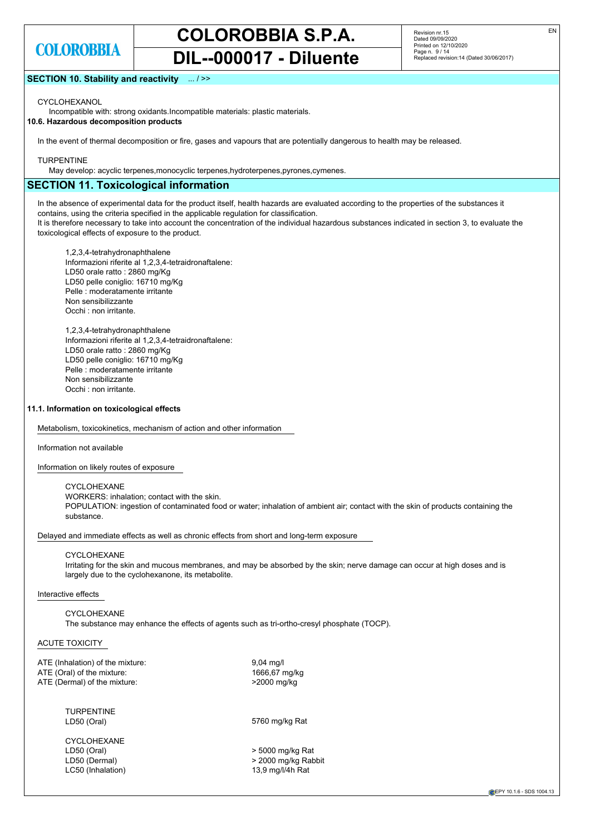# **COLOROBBIA S.P.A.**

**DIL--000017 - Diluente**

Revision nr.15 Dated 09/09/2020 Printed on 12/10/2020 Page n. 9 / 14 Replaced revision:14 (Dated 30/06/2017)

# **SECTION 10. Stability and reactivity** ... / >>

CYCLOHEXANOL

Incompatible with: strong oxidants.Incompatible materials: plastic materials.

**10.6. Hazardous decomposition products**

In the event of thermal decomposition or fire, gases and vapours that are potentially dangerous to health may be released.

### **TURPENTINE**

May develop: acyclic terpenes, monocyclic terpenes, hydroterpenes, pyrones, cymenes.

# **SECTION 11. Toxicological information**

In the absence of experimental data for the product itself, health hazards are evaluated according to the properties of the substances it contains, using the criteria specified in the applicable regulation for classification.

It is therefore necessary to take into account the concentration of the individual hazardous substances indicated in section 3, to evaluate the toxicological effects of exposure to the product.

1,2,3,4-tetrahydronaphthalene Informazioni riferite al 1,2,3,4-tetraidronaftalene: LD50 orale ratto : 2860 mg/Kg LD50 pelle coniglio: 16710 mg/Kg Pelle : moderatamente irritante Non sensibilizzante Occhi : non irritante.

1,2,3,4-tetrahydronaphthalene Informazioni riferite al 1,2,3,4-tetraidronaftalene: LD50 orale ratto : 2860 mg/Kg LD50 pelle coniglio: 16710 mg/Kg Pelle : moderatamente irritante Non sensibilizzante Occhi : non irritante.

# **11.1. Information on toxicological effects**

Metabolism, toxicokinetics, mechanism of action and other information

#### Information not available

Information on likely routes of exposure

### CYCLOHEXANE

WORKERS: inhalation; contact with the skin. POPULATION: ingestion of contaminated food or water; inhalation of ambient air; contact with the skin of products containing the substance.

Delayed and immediate effects as well as chronic effects from short and long-term exposure

#### CYCLOHEXANE

Irritating for the skin and mucous membranes, and may be absorbed by the skin; nerve damage can occur at high doses and is largely due to the cyclohexanone, its metabolite.

### Interactive effects

#### CYCLOHEXANE The substance may enhance the effects of agents such as tri-ortho-cresyl phosphate (TOCP).

### ACUTE TOXICITY

ATE (Inhalation) of the mixture: 9,04 mg/l ATE (Oral) of the mixture: 1666,67 mg/kg ATE (Dermal) of the mixture:  $>2000 \text{ mg/kg}$ 

TURPENTINE<br>LD50 (Oral)

CYCLOHEXANE LD50 (Oral) > 5000 mg/kg Rat LC50 (Inhalation) 13,9 mg/l/4h Rat

5760 mg/kg Rat

LD50 (Dermal)  $>$  2000 mg/kg Rabbit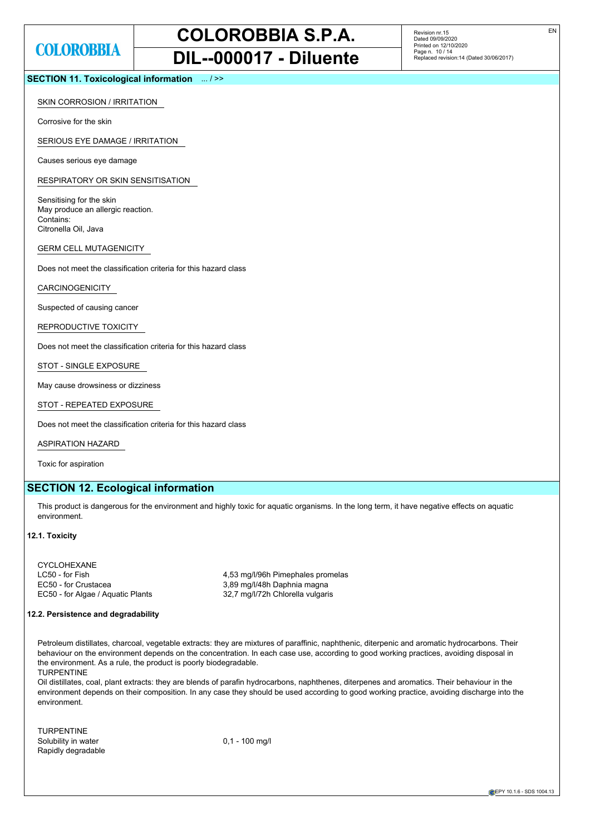Revision nr.15 Dated 09/09/2020 Printed on 12/10/2020 Page n. 10 / 14 Replaced revision:14 (Dated 30/06/2017)

# **SECTION 11. Toxicological information** ... / >>

## SKIN CORROSION / IRRITATION

Corrosive for the skin

SERIOUS EYE DAMAGE / IRRITATION

Causes serious eye damage

RESPIRATORY OR SKIN SENSITISATION

Sensitising for the skin May produce an allergic reaction. Contains: Citronella Oil, Java

GERM CELL MUTAGENICITY

Does not meet the classification criteria for this hazard class

CARCINOGENICITY

Suspected of causing cancer

REPRODUCTIVE TOXICITY

Does not meet the classification criteria for this hazard class

STOT - SINGLE EXPOSURE

May cause drowsiness or dizziness

STOT - REPEATED EXPOSURE

Does not meet the classification criteria for this hazard class

ASPIRATION HAZARD

Toxic for aspiration

# **SECTION 12. Ecological information**

This product is dangerous for the environment and highly toxic for aquatic organisms. In the long term, it have negative effects on aquatic environment.

### **12.1. Toxicity**

CYCLOHEXANE LC50 - for Fish 1990 100 100 100 4,53 mg/l/96h Pimephales promelas EC50 - for Crustacea 3,89 mg/l/48h Daphnia magna EC50 - for Algae / Aquatic Plants 32,7 mg/l/72h Chlorella vulgaris

## **12.2. Persistence and degradability**

Petroleum distillates, charcoal, vegetable extracts: they are mixtures of paraffinic, naphthenic, diterpenic and aromatic hydrocarbons. Their behaviour on the environment depends on the concentration. In each case use, according to good working practices, avoiding disposal in the environment. As a rule, the product is poorly biodegradable. TURPENTINE

Oil distillates, coal, plant extracts: they are blends of parafin hydrocarbons, naphthenes, diterpenes and aromatics. Their behaviour in the environment depends on their composition. In any case they should be used according to good working practice, avoiding discharge into the environment.

TURPENTINE Solubility in water  $0.1 - 100$  mg/l Rapidly degradable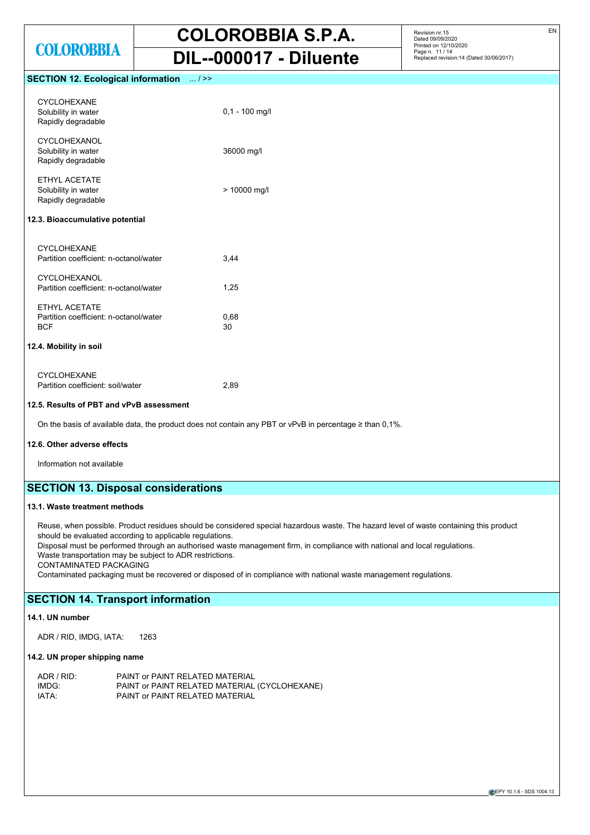Revision nr.15 Dated 09/09/2020 Printed on 12/10/2020 Page n. 11 / 14 Replaced revision:14 (Dated 30/06/2017)

# **SECTION 12. Ecological information** ... / >>

| <b>CYCLOHEXANE</b><br>Solubility in water<br>Rapidly degradable       | $0,1 - 100$ mg/l |
|-----------------------------------------------------------------------|------------------|
| <b>CYCLOHEXANOL</b><br>Solubility in water<br>Rapidly degradable      | 36000 mg/l       |
| ETHYL ACETATE<br>Solubility in water<br>Rapidly degradable            | > 10000 mg/l     |
| 12.3. Bioaccumulative potential                                       |                  |
| <b>CYCLOHEXANE</b><br>Partition coefficient: n-octanol/water          | 3,44             |
| <b>CYCLOHEXANOL</b><br>Partition coefficient: n-octanol/water         | 1,25             |
| FTHYI ACFTATF<br>Partition coefficient: n-octanol/water<br><b>BCF</b> | 0,68<br>30       |
| 12.4. Mobility in soil                                                |                  |
| <b>CYCLOHEXANE</b><br>Partition coefficient: soil/water               | 2,89             |

# **12.5. Results of PBT and vPvB assessment**

On the basis of available data, the product does not contain any PBT or vPvB in percentage ≥ than 0,1%.

# **12.6. Other adverse effects**

Information not available

# **SECTION 13. Disposal considerations**

# **13.1. Waste treatment methods**

Reuse, when possible. Product residues should be considered special hazardous waste. The hazard level of waste containing this product should be evaluated according to applicable regulations.

Disposal must be performed through an authorised waste management firm, in compliance with national and local regulations. Waste transportation may be subject to ADR restrictions.

CONTAMINATED PACKAGING

Contaminated packaging must be recovered or disposed of in compliance with national waste management regulations.

# **SECTION 14. Transport information**

# **14.1. UN number**

ADR / RID, IMDG, IATA: 1263

# **14.2. UN proper shipping name**

| ADR / RID: | PAINT or PAINT RELATED MATERIAL               |
|------------|-----------------------------------------------|
| IMDG:      | PAINT or PAINT RELATED MATERIAL (CYCLOHEXANE) |
| IATA:      | PAINT or PAINT RELATED MATERIAL               |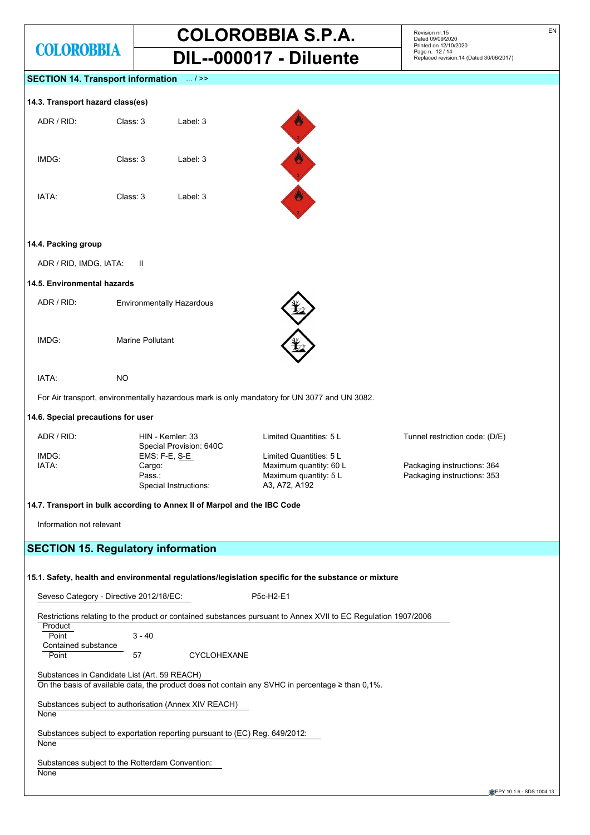# **COLOROBBIA S.P.A. DIL--000017 - Diluente**

Revision nr.15 Dated 09/09/2020 Printed on 12/10/2020 Page n. 12 / 14 Replaced revision:14 (Dated 30/06/2017)

# **SECTION 14. Transport information** ... / >>

# **14.3. Transport hazard class(es)**

| ADR / RID: | Class: 3 | Label: 3 |
|------------|----------|----------|
| IMDG:      | Class: 3 | Label: 3 |
| IATA:      | Class: 3 | Label: 3 |



### **14.4. Packing group**

ADR / RID, IMDG, IATA: II

### **14.5. Environmental hazards**

| ADR / RID: | <b>Environmentally Hazardous</b> |
|------------|----------------------------------|
|            |                                  |

IMDG: Marine Pollutant



IATA: NO

For Air transport, environmentally hazardous mark is only mandatory for UN 3077 and UN 3082.

# **14.6. Special precautions for user**

| ADR / RID: | HIN - Kemler: 33<br>Special Provision: 640C | Limited Quantities: 5 L | Tunnel restriction code: (D/E) |
|------------|---------------------------------------------|-------------------------|--------------------------------|
| IMDG:      | EMS: F-E, S-E                               | Limited Quantities: 5 L |                                |
| IATA:      | Cargo:                                      | Maximum quantity: 60 L  | Packaging instructions: 364    |
|            | Pass.:                                      | Maximum quantity: 5 L   | Packaging instructions: 353    |
|            | Special Instructions:                       | A3, A72, A192           |                                |

## **14.7. Transport in bulk according to Annex II of Marpol and the IBC Code**

Information not relevant

# **SECTION 15. Regulatory information**

# **15.1. Safety, health and environmental regulations/legislation specific for the substance or mixture**

Seveso Category - Directive 2012/18/EC: P5c-H2-E1

Restrictions relating to the product or contained substances pursuant to Annex XVII to EC Regulation 1907/2006 **Product** 

| , , vuuv            |          |                    |
|---------------------|----------|--------------------|
| Point               | $3 - 40$ |                    |
| Contained substance |          |                    |
| Point               | 57       | <b>CYCLOHEXANE</b> |

Substances in Candidate List (Art. 59 REACH)

On the basis of available data, the product does not contain any SVHC in percentage ≥ than 0,1%.

Substances subject to authorisation (Annex XIV REACH)

**None** 

Substances subject to exportation reporting pursuant to (EC) Reg. 649/2012: **None** 

# Substances subject to the Rotterdam Convention:

None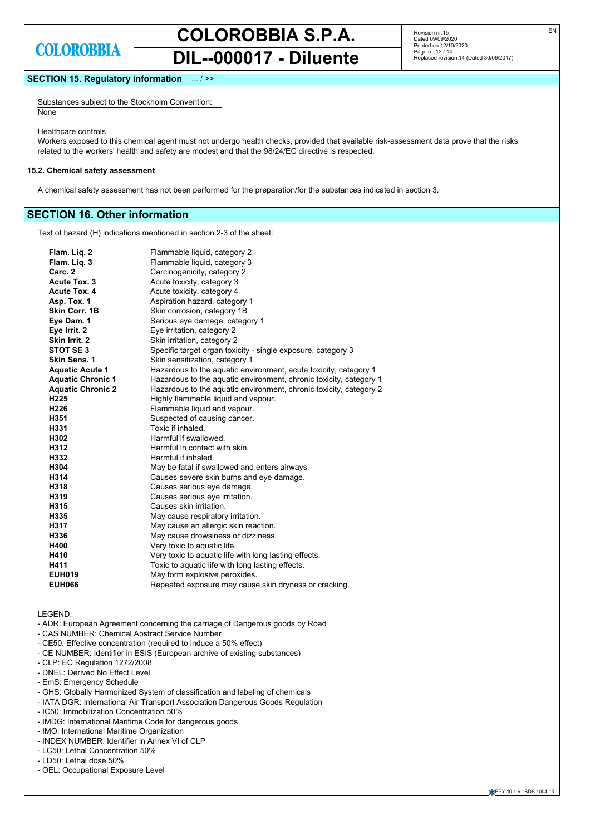Revision nr.15 Dated 09/09/2020 Printed on 12/10/2020 Page n. 13 / 14 Replaced revision:14 (Dated 30/06/2017)

# **SECTION 15. Regulatory information** ... / >>

Substances subject to the Stockholm Convention: None

Healthcare controls

Workers exposed to this chemical agent must not undergo health checks, provided that available risk-assessment data prove that the risks related to the workers' health and safety are modest and that the 98/24/EC directive is respected.

#### **15.2. Chemical safety assessment**

A chemical safety assessment has not been performed for the preparation/for the substances indicated in section 3.

# **SECTION 16. Other information**

Text of hazard (H) indications mentioned in section 2-3 of the sheet:

| Flam. Liq. 2             | Flammable liquid, category 2                                       |
|--------------------------|--------------------------------------------------------------------|
| Flam. Lig. 3             | Flammable liquid, category 3                                       |
| Carc. <sub>2</sub>       | Carcinogenicity, category 2                                        |
| Acute Tox. 3             | Acute toxicity, category 3                                         |
| <b>Acute Tox. 4</b>      | Acute toxicity, category 4                                         |
| Asp. Tox. 1              | Aspiration hazard, category 1                                      |
| Skin Corr. 1B            | Skin corrosion, category 1B                                        |
| Eye Dam. 1               | Serious eye damage, category 1                                     |
| Eye Irrit. 2             | Eye irritation, category 2                                         |
| Skin Irrit. 2            | Skin irritation, category 2                                        |
| STOT SE3                 | Specific target organ toxicity - single exposure, category 3       |
| Skin Sens. 1             | Skin sensitization, category 1                                     |
| <b>Aquatic Acute 1</b>   | Hazardous to the aquatic environment, acute toxicity, category 1   |
| <b>Aquatic Chronic 1</b> | Hazardous to the aquatic environment, chronic toxicity, category 1 |
| <b>Aquatic Chronic 2</b> | Hazardous to the aquatic environment, chronic toxicity, category 2 |
| H <sub>225</sub>         | Highly flammable liquid and vapour.                                |
| H <sub>226</sub>         | Flammable liquid and vapour.                                       |
| H351                     | Suspected of causing cancer.                                       |
| H331                     | Toxic if inhaled.                                                  |
| H302                     | Harmful if swallowed.                                              |
| H312                     | Harmful in contact with skin.                                      |
| H332                     | Harmful if inhaled.                                                |
| H304                     | May be fatal if swallowed and enters airways.                      |
| H314                     | Causes severe skin burns and eye damage.                           |
| H318                     | Causes serious eye damage.                                         |
| H319                     | Causes serious eye irritation.                                     |
| H315                     | Causes skin irritation.                                            |
| H335                     | May cause respiratory irritation.                                  |
| H317                     | May cause an allergic skin reaction.                               |
| H336                     | May cause drowsiness or dizziness.                                 |
| H400                     | Very toxic to aquatic life.                                        |
| H410                     | Very toxic to aquatic life with long lasting effects.              |
| H411                     | Toxic to aquatic life with long lasting effects.                   |
| <b>EUH019</b>            | May form explosive peroxides.                                      |
| <b>EUH066</b>            | Repeated exposure may cause skin dryness or cracking.              |
|                          |                                                                    |

LEGEND:

- ADR: European Agreement concerning the carriage of Dangerous goods by Road
- CAS NUMBER: Chemical Abstract Service Number
- CE50: Effective concentration (required to induce a 50% effect)
- CE NUMBER: Identifier in ESIS (European archive of existing substances)
- CLP: EC Regulation 1272/2008
- DNEL: Derived No Effect Level
- EmS: Emergency Schedule
- GHS: Globally Harmonized System of classification and labeling of chemicals
- IATA DGR: International Air Transport Association Dangerous Goods Regulation
- IC50: Immobilization Concentration 50%
- IMDG: International Maritime Code for dangerous goods
- IMO: International Maritime Organization
- INDEX NUMBER: Identifier in Annex VI of CLP
- LC50: Lethal Concentration 50%
- LD50: Lethal dose 50%
- OEL: Occupational Exposure Level